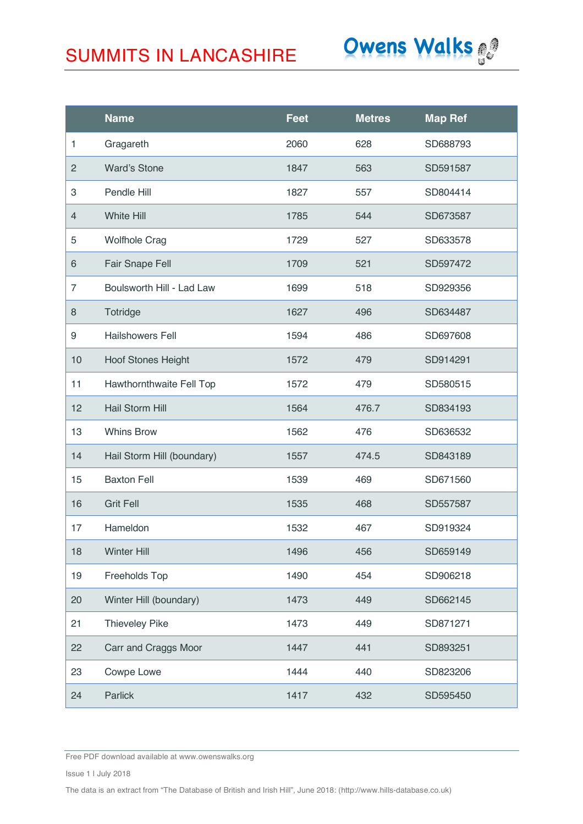

|                | <b>Name</b>                | <b>Feet</b> | <b>Metres</b> | <b>Map Ref</b> |
|----------------|----------------------------|-------------|---------------|----------------|
| 1              | Gragareth                  | 2060        | 628           | SD688793       |
| $\overline{2}$ | <b>Ward's Stone</b>        | 1847        | 563           | SD591587       |
| 3              | Pendle Hill                | 1827        | 557           | SD804414       |
| $\overline{4}$ | <b>White Hill</b>          | 1785        | 544           | SD673587       |
| 5              | <b>Wolfhole Crag</b>       | 1729        | 527           | SD633578       |
| $\,$ 6 $\,$    | Fair Snape Fell            | 1709        | 521           | SD597472       |
| $\overline{7}$ | Boulsworth Hill - Lad Law  | 1699        | 518           | SD929356       |
| 8              | Totridge                   | 1627        | 496           | SD634487       |
| 9              | <b>Hailshowers Fell</b>    | 1594        | 486           | SD697608       |
| 10             | <b>Hoof Stones Height</b>  | 1572        | 479           | SD914291       |
| 11             | Hawthornthwaite Fell Top   | 1572        | 479           | SD580515       |
| 12             | Hail Storm Hill            | 1564        | 476.7         | SD834193       |
| 13             | <b>Whins Brow</b>          | 1562        | 476           | SD636532       |
| 14             | Hail Storm Hill (boundary) | 1557        | 474.5         | SD843189       |
| 15             | <b>Baxton Fell</b>         | 1539        | 469           | SD671560       |
| 16             | <b>Grit Fell</b>           | 1535        | 468           | SD557587       |
| 17             | Hameldon                   | 1532        | 467           | SD919324       |
| 18             | <b>Winter Hill</b>         | 1496        | 456           | SD659149       |
| 19             | Freeholds Top              | 1490        | 454           | SD906218       |
| 20             | Winter Hill (boundary)     | 1473        | 449           | SD662145       |
| 21             | <b>Thieveley Pike</b>      | 1473        | 449           | SD871271       |
| 22             | Carr and Craggs Moor       | 1447        | 441           | SD893251       |
| 23             | Cowpe Lowe                 | 1444        | 440           | SD823206       |
| 24             | Parlick                    | 1417        | 432           | SD595450       |

Free PDF download available at www.owenswalks.org

Issue 1 | July 2018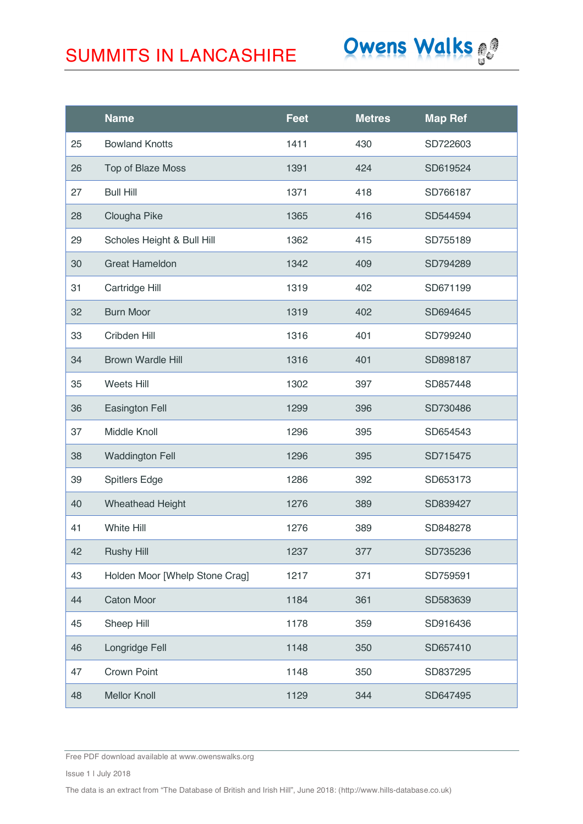

|    | <b>Name</b>                    | <b>Feet</b> | <b>Metres</b> | <b>Map Ref</b> |
|----|--------------------------------|-------------|---------------|----------------|
| 25 | <b>Bowland Knotts</b>          | 1411        | 430           | SD722603       |
| 26 | Top of Blaze Moss              | 1391        | 424           | SD619524       |
| 27 | <b>Bull Hill</b>               | 1371        | 418           | SD766187       |
| 28 | Clougha Pike                   | 1365        | 416           | SD544594       |
| 29 | Scholes Height & Bull Hill     | 1362        | 415           | SD755189       |
| 30 | <b>Great Hameldon</b>          | 1342        | 409           | SD794289       |
| 31 | Cartridge Hill                 | 1319        | 402           | SD671199       |
| 32 | <b>Burn Moor</b>               | 1319        | 402           | SD694645       |
| 33 | Cribden Hill                   | 1316        | 401           | SD799240       |
| 34 | <b>Brown Wardle Hill</b>       | 1316        | 401           | SD898187       |
| 35 | Weets Hill                     | 1302        | 397           | SD857448       |
| 36 | <b>Easington Fell</b>          | 1299        | 396           | SD730486       |
| 37 | Middle Knoll                   | 1296        | 395           | SD654543       |
| 38 | <b>Waddington Fell</b>         | 1296        | 395           | SD715475       |
| 39 | <b>Spitlers Edge</b>           | 1286        | 392           | SD653173       |
| 40 | Wheathead Height               | 1276        | 389           | SD839427       |
| 41 | White Hill                     | 1276        | 389           | SD848278       |
| 42 | <b>Rushy Hill</b>              | 1237        | 377           | SD735236       |
| 43 | Holden Moor [Whelp Stone Crag] | 1217        | 371           | SD759591       |
| 44 | <b>Caton Moor</b>              | 1184        | 361           | SD583639       |
| 45 | Sheep Hill                     | 1178        | 359           | SD916436       |
| 46 | Longridge Fell                 | 1148        | 350           | SD657410       |
| 47 | Crown Point                    | 1148        | 350           | SD837295       |
| 48 | <b>Mellor Knoll</b>            | 1129        | 344           | SD647495       |

Free PDF download available at www.owenswalks.org

Issue 1 | July 2018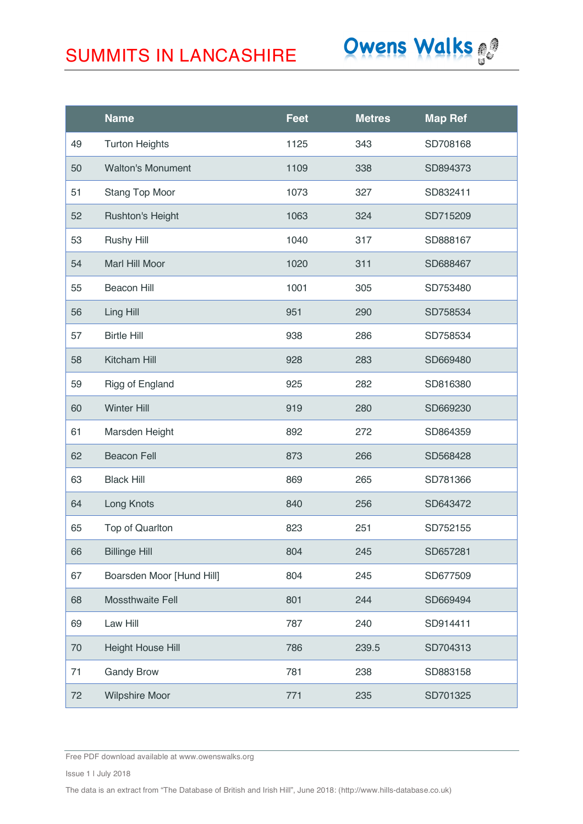# Owens Walks

|    | <b>Name</b>               | <b>Feet</b> | <b>Metres</b> | <b>Map Ref</b> |
|----|---------------------------|-------------|---------------|----------------|
| 49 | <b>Turton Heights</b>     | 1125        | 343           | SD708168       |
| 50 | <b>Walton's Monument</b>  | 1109        | 338           | SD894373       |
| 51 | Stang Top Moor            | 1073        | 327           | SD832411       |
| 52 | <b>Rushton's Height</b>   | 1063        | 324           | SD715209       |
| 53 | <b>Rushy Hill</b>         | 1040        | 317           | SD888167       |
| 54 | Marl Hill Moor            | 1020        | 311           | SD688467       |
| 55 | <b>Beacon Hill</b>        | 1001        | 305           | SD753480       |
| 56 | Ling Hill                 | 951         | 290           | SD758534       |
| 57 | <b>Birtle Hill</b>        | 938         | 286           | SD758534       |
| 58 | Kitcham Hill              | 928         | 283           | SD669480       |
| 59 | Rigg of England           | 925         | 282           | SD816380       |
| 60 | <b>Winter Hill</b>        | 919         | 280           | SD669230       |
| 61 | Marsden Height            | 892         | 272           | SD864359       |
| 62 | <b>Beacon Fell</b>        | 873         | 266           | SD568428       |
| 63 | <b>Black Hill</b>         | 869         | 265           | SD781366       |
| 64 | Long Knots                | 840         | 256           | SD643472       |
| 65 | Top of Quarlton           | 823         | 251           | SD752155       |
| 66 | <b>Billinge Hill</b>      | 804         | 245           | SD657281       |
| 67 | Boarsden Moor [Hund Hill] | 804         | 245           | SD677509       |
| 68 | Mossthwaite Fell          | 801         | 244           | SD669494       |
| 69 | Law Hill                  | 787         | 240           | SD914411       |
| 70 | <b>Height House Hill</b>  | 786         | 239.5         | SD704313       |
| 71 | <b>Gandy Brow</b>         | 781         | 238           | SD883158       |
| 72 | <b>Wilpshire Moor</b>     | 771         | 235           | SD701325       |

Free PDF download available at www.owenswalks.org

Issue 1 | July 2018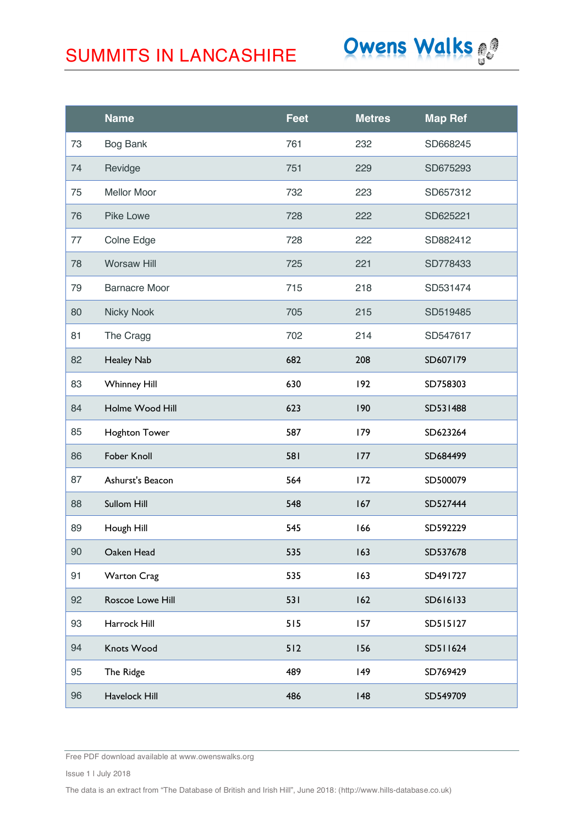

|    | <b>Name</b>          | <b>Feet</b> | <b>Metres</b> | <b>Map Ref</b> |
|----|----------------------|-------------|---------------|----------------|
| 73 | <b>Bog Bank</b>      | 761         | 232           | SD668245       |
| 74 | Revidge              | 751         | 229           | SD675293       |
| 75 | <b>Mellor Moor</b>   | 732         | 223           | SD657312       |
| 76 | Pike Lowe            | 728         | 222           | SD625221       |
| 77 | Colne Edge           | 728         | 222           | SD882412       |
| 78 | <b>Worsaw Hill</b>   | 725         | 221           | SD778433       |
| 79 | <b>Barnacre Moor</b> | 715         | 218           | SD531474       |
| 80 | Nicky Nook           | 705         | 215           | SD519485       |
| 81 | The Cragg            | 702         | 214           | SD547617       |
| 82 | Healey Nab           | 682         | 208           | SD607179       |
| 83 | <b>Whinney Hill</b>  | 630         | 192           | SD758303       |
| 84 | Holme Wood Hill      | 623         | 190           | SD531488       |
| 85 | Hoghton Tower        | 587         | 179           | SD623264       |
| 86 | Fober Knoll          | 581         | 177           | SD684499       |
| 87 | Ashurst's Beacon     | 564         | 172           | SD500079       |
| 88 | Sullom Hill          | 548         | 167           | SD527444       |
| 89 | Hough Hill           | 545         | 166           | SD592229       |
| 90 | Oaken Head           | 535         | 163           | SD537678       |
| 91 | <b>Warton Crag</b>   | 535         | 163           | SD491727       |
| 92 | Roscoe Lowe Hill     | 531         | 162           | SD616133       |
| 93 | Harrock Hill         | 515         | 157           | SD515127       |
| 94 | Knots Wood           | 512         | 156           | SD511624       |
| 95 | The Ridge            | 489         | 149           | SD769429       |
| 96 | Havelock Hill        | 486         | 148           | SD549709       |

Free PDF download available at www.owenswalks.org

Issue 1 | July 2018